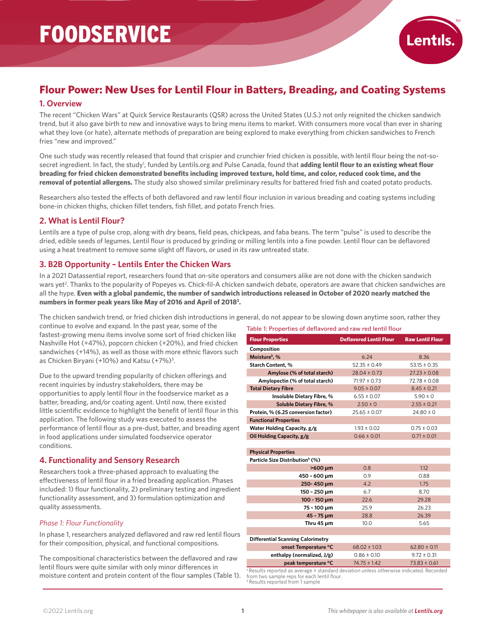

# **Flour Power: New Uses for Lentil Flour in Batters, Breading, and Coating Systems**

# **1. Overview**

The recent "Chicken Wars" at Quick Service Restaurants (QSR) across the United States (U.S.) not only reignited the chicken sandwich trend, but it also gave birth to new and innovative ways to bring menu items to market. With consumers more vocal than ever in sharing what they love (or hate), alternate methods of preparation are being explored to make everything from chicken sandwiches to French fries "new and improved."

One such study was recently released that found that crispier and crunchier fried chicken is possible, with lentil flour being the not-sosecret ingredient. In fact, the study<sup>1</sup>, funded by Lentils.org and Pulse Canada, found that **adding lentil flour to an existing wheat flour breading for fried chicken demonstrated benefits including improved texture, hold time, and color, reduced cook time, and the removal of potential allergens.** The study also showed similar preliminary results for battered fried fish and coated potato products.

Researchers also tested the effects of both deflavored and raw lentil flour inclusion in various breading and coating systems including bone-in chicken thighs, chicken fillet tenders, fish fillet, and potato French fries.

# **2. What is Lentil Flour?**

Lentils are a type of pulse crop, along with dry beans, field peas, chickpeas, and faba beans. The term "pulse" is used to describe the dried, edible seeds of legumes. Lentil flour is produced by grinding or milling lentils into a fine powder. Lentil flour can be deflavored using a heat treatment to remove some slight off flavors, or used in its raw untreated state.

# **3. B2B Opportunity – Lentils Enter the Chicken Wars**

In a 2021 Datassential report, researchers found that on-site operators and consumers alike are not done with the chicken sandwich wars yet<sup>2</sup>. Thanks to the popularity of Popeyes vs. Chick-fil-A chicken sandwich debate, operators are aware that chicken sandwiches are all the hype. **Even with a global pandemic, the number of sandwich introductions released in October of 2020 nearly matched the numbers in former peak years like May of 2016 and April of 20183 .**

The chicken sandwich trend, or fried chicken dish introductions in general, do not appear to be slowing down anytime soon, rather they

continue to evolve and expand. In the past year, some of the fastest-growing menu items involve some sort of fried chicken like Nashville Hot (+47%), popcorn chicken (+20%), and fried chicken sandwiches (+14%), as well as those with more ethnic flavors such as Chicken Biryani (+10%) and Katsu (+7%)<sup>3</sup>.

Due to the upward trending popularity of chicken offerings and recent inquiries by industry stakeholders, there may be opportunities to apply lentil flour in the foodservice market as a batter, breading, and/or coating agent. Until now, there existed little scientific evidence to highlight the benefit of lentil flour in this application. The following study was executed to assess the performance of lentil flour as a pre-dust, batter, and breading agent in food applications under simulated foodservice operator conditions.

# **4. Functionality and Sensory Research**

Researchers took a three-phased approach to evaluating the effectiveness of lentil flour in a fried breading application. Phases included: 1) flour functionality, 2) preliminary testing and ingredient functionality assessment, and 3) formulation optimization and quality assessments.

### *Phase 1: Flour Functionality*

In phase 1, researchers analyzed deflavored and raw red lentil flours for their composition, physical, and functional compositions.

The compositional characteristics between the deflavored and raw lentil flours were quite similar with only minor differences in moisture content and protein content of the flour samples (Table 1).

| Table 1: Properties of deflavored and raw red lentil flour |  |  |
|------------------------------------------------------------|--|--|
|------------------------------------------------------------|--|--|

| <b>Flour Properties</b>                                                                                                                                        | <b>Deflavored Lentil Flour</b> | <b>Raw Lentil Flour</b> |  |  |  |  |
|----------------------------------------------------------------------------------------------------------------------------------------------------------------|--------------------------------|-------------------------|--|--|--|--|
| Composition                                                                                                                                                    |                                |                         |  |  |  |  |
| Moisture <sup>b</sup> , %                                                                                                                                      | 6.24                           | 8.36                    |  |  |  |  |
| <b>Starch Content, %</b>                                                                                                                                       | $52.35 \pm 0.49$               | $53.15 \pm 0.35$        |  |  |  |  |
| Amylose (% of total starch)                                                                                                                                    | $28.04 \pm 0.73$               | $27.23 \pm 0.08$        |  |  |  |  |
| Amylopectin (% of total starch)                                                                                                                                | $71.97 \pm 0.73$               | $72.78 \pm 0.08$        |  |  |  |  |
| <b>Total Dietary Fibre</b>                                                                                                                                     | $9.05 \pm 0.07$                | $8.45 \pm 0.21$         |  |  |  |  |
| Insoluble Dietary Fibre, %                                                                                                                                     | $6.55 \pm 0.07$                | $5.90 \pm 0$            |  |  |  |  |
| Soluble Dietary Fibre, %                                                                                                                                       | $2.50 \pm 0$                   | $2.55 \pm 0.21$         |  |  |  |  |
| Protein, % (6.25 conversion factor)                                                                                                                            | $25.65 \pm 0.07$               | $24.80 \pm 0$           |  |  |  |  |
| <b>Functional Properties</b>                                                                                                                                   |                                |                         |  |  |  |  |
| Water Holding Capacity, g/g                                                                                                                                    | $1.93 \pm 0.02$                | $0.75 \pm 0.03$         |  |  |  |  |
| Oil Holding Capacity, g/g                                                                                                                                      | $0.66 \pm 0.01$                | $0.71 \pm 0.01$         |  |  |  |  |
|                                                                                                                                                                |                                |                         |  |  |  |  |
| <b>Physical Properties</b>                                                                                                                                     |                                |                         |  |  |  |  |
| Particle Size Distribution <sup>b</sup> (%)                                                                                                                    |                                |                         |  |  |  |  |
| >600 µm                                                                                                                                                        | 0.8                            | 1.12                    |  |  |  |  |
| 450 - 600 µm                                                                                                                                                   | 0.9                            | 0.88                    |  |  |  |  |
| 250-450 um                                                                                                                                                     | 4.2                            | 1.75                    |  |  |  |  |
| 150 - 250 µm                                                                                                                                                   | 6.7                            | 8.70                    |  |  |  |  |
| 100 - 150 µm                                                                                                                                                   | 22.6                           | 29.28                   |  |  |  |  |
| 75 - 100 µm                                                                                                                                                    | 25.9                           | 26.23                   |  |  |  |  |
| 45 - 75 um                                                                                                                                                     | 28.8                           | 26.39                   |  |  |  |  |
| Thru 45 um                                                                                                                                                     | 10.0                           | 5.65                    |  |  |  |  |
|                                                                                                                                                                |                                |                         |  |  |  |  |
| <b>Differential Scanning Calorimetry</b>                                                                                                                       |                                |                         |  |  |  |  |
| onset Temperature °C                                                                                                                                           | $68.02 \pm 1.03$               | $62.80 \pm 0.11$        |  |  |  |  |
| enthalpy (normalized, J/g)                                                                                                                                     | $0.86 \pm 0.10$                | $9.72 \pm 0.31$         |  |  |  |  |
| peak temperature °C                                                                                                                                            | $74.75 \pm 1.42$               | $73.83 \pm 0.61$        |  |  |  |  |
| <sup>a</sup> Results reported as average ± standard deviation unless otherwise indicated. Recorded<br>المحاف التفصيحا بالمستوي بمحاف والمستحدث والمتحدث ومنتقى |                                |                         |  |  |  |  |

from two sample reps for each lentil flour. Results reported from 1 sample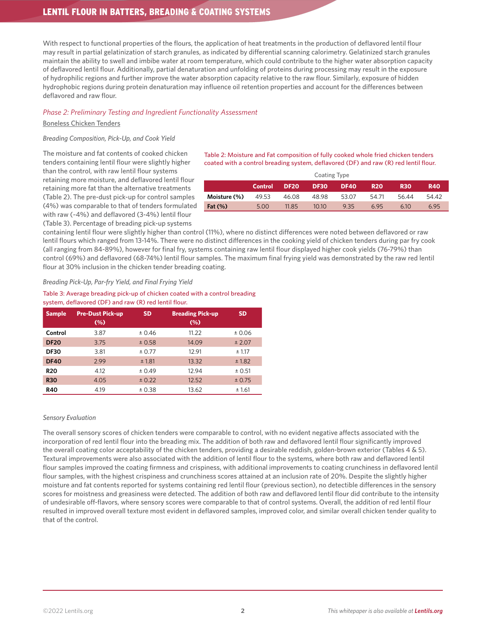# LENTIL FLOUR IN BATTERS, BREADING & COATING SYSTEMS

With respect to functional properties of the flours, the application of heat treatments in the production of deflavored lentil flour may result in partial gelatinization of starch granules, as indicated by differential scanning calorimetry. Gelatinized starch granules maintain the ability to swell and imbibe water at room temperature, which could contribute to the higher water absorption capacity of deflavored lentil flour. Additionally, partial denaturation and unfolding of proteins during processing may result in the exposure of hydrophilic regions and further improve the water absorption capacity relative to the raw flour. Similarly, exposure of hidden hydrophobic regions during protein denaturation may influence oil retention properties and account for the differences between deflavored and raw flour.

### *Phase 2: Preliminary Testing and Ingredient Functionality Assessment*

#### Boneless Chicken Tenders

### *Breading Composition, Pick-Up, and Cook Yield*

The moisture and fat contents of cooked chicken tenders containing lentil flour were slightly higher than the control, with raw lentil flour systems retaining more moisture, and deflavored lentil flour retaining more fat than the alternative treatments (Table 2). The pre-dust pick-up for control samples (4%) was comparable to that of tenders formulated with raw (~4%) and deflavored (3-4%) lentil flour (Table 3). Percentage of breading pick-up systems

Table 2: Moisture and Fat composition of fully cooked whole fried chicken tenders coated with a control breading system, deflavored (DF) and raw (R) red lentil flour.

| <b>Coating Type</b> |                |             |             |             |            |            |            |
|---------------------|----------------|-------------|-------------|-------------|------------|------------|------------|
|                     | <b>Control</b> | <b>DF20</b> | <b>DF30</b> | <b>DF40</b> | <b>R20</b> | <b>R30</b> | <b>R40</b> |
| Moisture (%)        | 49.53          | 46.08       | 48.98       | 53.07       | 54.71      | 56.44      | 54.42      |
| Fat $(\%)$          | 5.00           | 11.85       | 10,10       | 9.35        | 6.95       | 6.10       | 6.95       |

containing lentil flour were slightly higher than control (11%), where no distinct differences were noted between deflavored or raw lentil flours which ranged from 13-14%. There were no distinct differences in the cooking yield of chicken tenders during par fry cook (all ranging from 84-89%), however for final fry, systems containing raw lentil flour displayed higher cook yields (76-79%) than control (69%) and deflavored (68-74%) lentil flour samples. The maximum final frying yield was demonstrated by the raw red lentil flour at 30% inclusion in the chicken tender breading coating.

#### *Breading Pick-Up, Par-fry Yield, and Final Frying Yield*

Table 3: Average breading pick-up of chicken coated with a control breading system, deflavored (DF) and raw (R) red lentil flour.

| <b>Sample</b> | <b>Pre-Dust Pick-up</b><br>$(\%)$ | <b>SD</b> | <b>Breading Pick-up</b><br>$(\%)$ | <b>SD</b> |
|---------------|-----------------------------------|-----------|-----------------------------------|-----------|
| Control       | 3.87                              | ± 0.46    | 11.22                             | ± 0.06    |
| <b>DF20</b>   | 3.75                              | ± 0.58    | 14.09                             | ± 2.07    |
| <b>DF30</b>   | 3.81                              | ± 0.77    | 12.91                             | ± 1.17    |
| <b>DF40</b>   | 2.99                              | ± 1.81    | 13.32                             | ± 1.82    |
| <b>R20</b>    | 4.12                              | ± 0.49    | 12.94                             | ± 0.51    |
| <b>R30</b>    | 4.05                              | ± 0.22    | 12.52                             | ± 0.75    |
| <b>R40</b>    | 4.19                              | ± 0.38    | 13.62                             | ± 1.61    |

#### *Sensory Evaluation*

The overall sensory scores of chicken tenders were comparable to control, with no evident negative affects associated with the incorporation of red lentil flour into the breading mix. The addition of both raw and deflavored lentil flour significantly improved the overall coating color acceptability of the chicken tenders, providing a desirable reddish, golden-brown exterior (Tables 4 & 5). Textural improvements were also associated with the addition of lentil flour to the systems, where both raw and deflavored lentil flour samples improved the coating firmness and crispiness, with additional improvements to coating crunchiness in deflavored lentil flour samples, with the highest crispiness and crunchiness scores attained at an inclusion rate of 20%. Despite the slightly higher moisture and fat contents reported for systems containing red lentil flour (previous section), no detectible differences in the sensory scores for moistness and greasiness were detected. The addition of both raw and deflavored lentil flour did contribute to the intensity of undesirable off-flavors, where sensory scores were comparable to that of control systems. Overall, the addition of red lentil flour resulted in improved overall texture most evident in deflavored samples, improved color, and similar overall chicken tender quality to that of the control.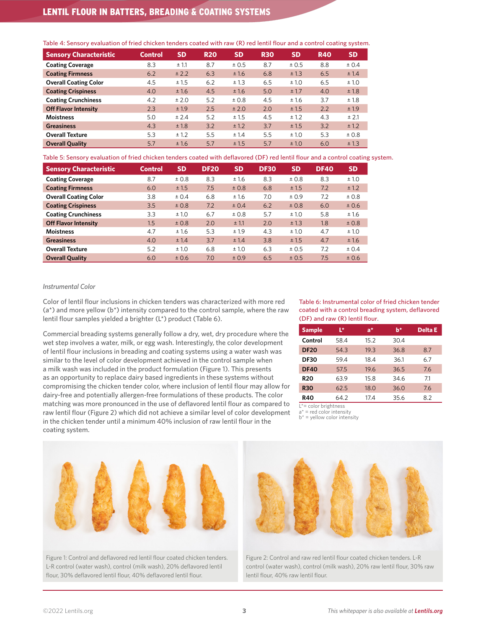# LENTIL FLOUR IN BATTERS, BREADING & COATING SYSTEMS

|  |  | Table 4: Sensory evaluation of fried chicken tenders coated with raw (R) red lentil flour and a control coating system. |
|--|--|-------------------------------------------------------------------------------------------------------------------------|
|--|--|-------------------------------------------------------------------------------------------------------------------------|

| <b>Sensory Characteristic</b> | <b>Control</b> | <b>SD</b> | <b>R20</b> | <b>SD</b> | <b>R30</b> | <b>SD</b> | <b>R40</b> | <b>SD</b> |
|-------------------------------|----------------|-----------|------------|-----------|------------|-----------|------------|-----------|
| <b>Coating Coverage</b>       | 8.3            | ± 1.1     | 8.7        | ± 0.5     | 8.7        | ± 0.5     | 8.8        | ± 0.4     |
| <b>Coating Firmness</b>       | 6.2            | ± 2.2     | 6.3        | ±1.6      | 6.8        | ±1.3      | 6.5        | ± 1.4     |
| <b>Overall Coating Color</b>  | 4.5            | ±1.5      | 6.2        | ±1.3      | 6.5        | ±1.0      | 6.5        | ±1.0      |
| <b>Coating Crispiness</b>     | 4.0            | ±1.6      | 4.5        | ±1.6      | 5.0        | ± 1.7     | 4.0        | ±1.8      |
| <b>Coating Crunchiness</b>    | 4.2            | ± 2.0     | 5.2        | ± 0.8     | 4.5        | ±1.6      | 3.7        | ±1.8      |
| <b>Off Flavor Intensity</b>   | 2.3            | ±1.9      | 2.5        | ± 2.0     | 2.0        | ±1.5      | 2.2        | ±1.9      |
| <b>Moistness</b>              | 5.0            | ± 2.4     | 5.2        | ±1.5      | 4.5        | ± 1.2     | 4.3        | ± 2.1     |
| <b>Greasiness</b>             | 4.3            | ±1.8      | 3.2        | ± 1.2     | 3.7        | ±1.5      | 3.2        | ± 1.2     |
| <b>Overall Texture</b>        | 5.3            | ± 1.2     | 5.5        | ± 1.4     | 5.5        | ±1.0      | 5.3        | ± 0.8     |
| <b>Overall Quality</b>        | 5.7            | ±1.6      | 5.7        | ±1.5      | 5.7        | ±1.0      | 6.0        | ±1.3      |

Table 5: Sensory evaluation of fried chicken tenders coated with deflavored (DF) red lentil flour and a control coating system.

| <b>Sensory Characteristic</b> | <b>Control</b> | <b>SD</b> | <b>DF20</b> | <b>SD</b> | <b>DF30</b> | <b>SD</b> | <b>DF40</b> | <b>SD</b> |
|-------------------------------|----------------|-----------|-------------|-----------|-------------|-----------|-------------|-----------|
| <b>Coating Coverage</b>       | 8.7            | ±0.8      | 8.3         | ±1.6      | 8.3         | ± 0.8     | 8.3         | ±1.0      |
| <b>Coating Firmness</b>       | 6.0            | ±1.5      | 7.5         | ± 0.8     | 6.8         | ±1.5      | 7.2         | ± 1.2     |
| <b>Overall Coating Color</b>  | 3.8            | ± 0.4     | 6.8         | ±1.6      | 7.0         | ± 0.9     | 7.2         | ± 0.8     |
| <b>Coating Crispiness</b>     | 3.5            | ± 0.8     | 7.2         | ± 0.4     | 6.2         | ± 0.8     | 6.0         | ± 0.6     |
| <b>Coating Crunchiness</b>    | 3.3            | ±1.0      | 6.7         | ± 0.8     | 5.7         | ±1.0      | 5.8         | ±1.6      |
| <b>Off Flavor Intensity</b>   | 1.5            | ± 0.8     | 2.0         | ±1.1      | 2.0         | ±1.3      | 1.8         | ± 0.8     |
| <b>Moistness</b>              | 4.7            | ±1.6      | 5.3         | ±1.9      | 4.3         | ± 1.0     | 4.7         | ±1.0      |
| <b>Greasiness</b>             | 4.0            | ± 1.4     | 3.7         | ± 1.4     | 3.8         | ±1.5      | 4.7         | ±1.6      |
| <b>Overall Texture</b>        | 5.2            | ±1.0      | 6.8         | ±1.0      | 6.3         | ± 0.5     | 7.2         | ± 0.4     |
| <b>Overall Quality</b>        | 6.0            | ±0.6      | 7.0         | ±0.9      | 6.5         | ± 0.5     | 7.5         | ± 0.6     |

#### *Instrumental Color*

Color of lentil flour inclusions in chicken tenders was characterized with more red (a\*) and more yellow (b\*) intensity compared to the control sample, where the raw lentil flour samples yielded a brighter (L\*) product (Table 6).

Commercial breading systems generally follow a dry, wet, dry procedure where the wet step involves a water, milk, or egg wash. Interestingly, the color development of lentil flour inclusions in breading and coating systems using a water wash was similar to the level of color development achieved in the control sample when a milk wash was included in the product formulation (Figure 1). This presents as an opportunity to replace dairy based ingredients in these systems without compromising the chicken tender color, where inclusion of lentil flour may allow for dairy-free and potentially allergen-free formulations of these products. The color matching was more pronounced in the use of deflavored lentil flour as compared to raw lentil flour (Figure 2) which did not achieve a similar level of color development in the chicken tender until a minimum 40% inclusion of raw lentil flour in the coating system.

Table 6: Instrumental color of fried chicken tender coated with a control breading system, deflavored (DF) and raw (R) lentil flour.

| <b>Sample</b> | Ľ*   | a*   | $h^{\star}$ | <b>Delta E</b> |
|---------------|------|------|-------------|----------------|
| Control       | 58.4 | 15.2 | 30.4        |                |
| <b>DF20</b>   | 54.3 | 19.3 | 36.8        | 8.7            |
| <b>DF30</b>   | 59.4 | 18.4 | 36.1        | 67             |
| <b>DF40</b>   | 57.5 | 19.6 | 36.5        | 7.6            |
| <b>R20</b>    | 63.9 | 15.8 | 34.6        | 71             |
| <b>R30</b>    | 62.5 | 18.0 | 36.0        | 7.6            |
| R40           | 64.2 | 17.4 | 35.6        | 8.2            |

L<sup>\*=</sup> color brightness



Figure 1: Control and deflavored red lentil flour coated chicken tenders. L-R control (water wash), control (milk wash), 20% deflavored lentil flour, 30% deflavored lentil flour, 40% deflavored lentil flour.



Figure 2: Control and raw red lentil flour coated chicken tenders. L-R control (water wash), control (milk wash), 20% raw lentil flour, 30% raw lentil flour, 40% raw lentil flour.

 $a^*$  = red color intensity

 $b^*$  = yellow color intensity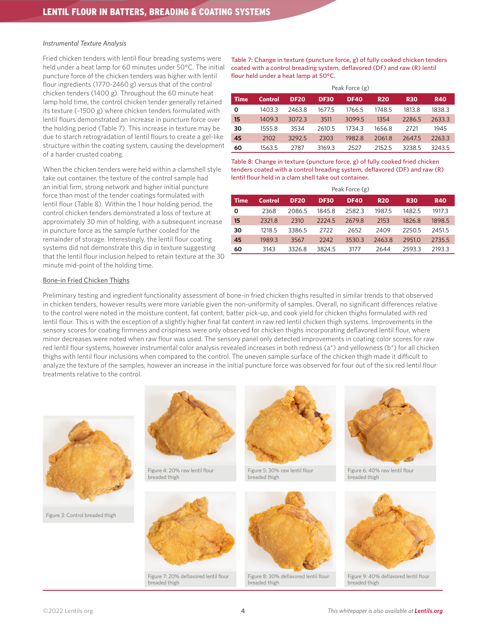#### *Instrumental Texture Analysis*

Fried chicken tenders with lentil flour breading systems were held under a heat lamp for 60 minutes under 50°C. The initial puncture force of the chicken tenders was higher with lentil flour ingredients (1770-2460 g) versus that of the control chicken tenders (1400 g). Throughout the 60 minute heat lamp hold time, the control chicken tender generally retained its texture (~1500 g) where chicken tenders formulated with lentil flours demonstrated an increase in puncture force over the holding period (Table 7). This increase in texture may be due to starch retrogradation of lentil flours to create a gel-like structure within the coating system, causing the development of a harder crusted coating.

When the chicken tenders were held within a clamshell style take out container, the texture of the control sample had an initial firm, strong network and higher initial puncture force than most of the tender coatings formulated with lentil flour (Table 8). Within the 1 hour holding period, the control chicken tenders demonstrated a loss of texture at approximately 30 min of holding, with a subsequent increase in puncture force as the sample further cooled for the remainder of storage. Interestingly, the lentil flour coating systems did not demonstrate this dip in texture suggesting that the lentil flour inclusion helped to retain texture at the 30 minute mid-point of the holding time.

Table 7: Change in texture (puncture force, g) of fully cooked chicken tenders coated with a control breading system, deflavored (DF) and raw (R) lentil flour held under a heat lamp at 50°C.

|             |         |             |             | Peak Force (g) |            |            |            |
|-------------|---------|-------------|-------------|----------------|------------|------------|------------|
| <b>Time</b> | Control | <b>DF20</b> | <b>DF30</b> | <b>DF40</b>    | <b>R20</b> | <b>R30</b> | <b>R40</b> |
| 0           | 1403.3  | 2463.8      | 1677.5      | 1766.5         | 1748.5     | 1813.8     | 1838.3     |
| 15          | 1409.3  | 30723       | 3511        | 3099.5         | 1354       | 2286.5     | 2633.3     |
| 30          | 1555.8  | 3534        | 2610.5      | 1734.3         | 1656.8     | 2721       | 1945       |
| 45          | 2102    | 3292.5      | 2303        | 1982.8         | 2061.8     | 2647.5     | 2263.3     |
| 60          | 1563.5  | 2787        | 3169.3      | 2527           | 2152.5     | 3238.5     | 3243.5     |

Table 8: Change in texture (puncture force, g) of fully cooked fried chicken tenders coated with a control breading system, deflavored (DF) and raw (R) lentil flour held in a clam shell take out container.

|             | Peak Force (g) |             |             |             |            |            |            |
|-------------|----------------|-------------|-------------|-------------|------------|------------|------------|
| <b>Time</b> | Control        | <b>DF20</b> | <b>DF30</b> | <b>DF40</b> | <b>R20</b> | <b>R30</b> | <b>R40</b> |
| Ο           | 2368           | 2086.5      | 1845.8      | 2582.3      | 1987.5     | 1482.5     | 1917.3     |
| 15          | 2321.8         | 2310        | 2224.5      | 2679.8      | 2153       | 1826.8     | 1898.5     |
| 30          | 1218.5         | 3386.5      | 2722        | 2652        | 2409       | 2250.5     | 2451.5     |
| 45          | 1989.3         | 3567        | 2242        | 3530.3      | 2463.8     | 2951.0     | 2735.5     |
| 60          | 3143           | 3326.8      | 3824.5      | 3177        | 2644       | 2593.3     | 2193.3     |

#### Bone-in Fried Chicken Thighs

Preliminary testing and ingredient functionality assessment of bone-in fried chicken thighs resulted in similar trends to that observed in chicken tenders, however results were more variable given the non-uniformity of samples. Overall, no significant differences relative to the control were noted in the moisture content, fat content, batter pick-up, and cook yield for chicken thighs formulated with red lentil flour. This is with the exception of a slightly higher final fat content in raw red lentil chicken thigh systems. Improvements in the sensory scores for coating firmness and crispiness were only observed for chicken thighs incorporating deflavored lentil flour, where minor decreases were noted when raw flour was used. The sensory panel only detected improvements in coating color scores for raw red lentil flour systems, however instrumental color analysis revealed increases in both redness (a\*) and yellowness (b\*) for all chicken thighs with lentil flour inclusions when compared to the control. The uneven sample surface of the chicken thigh made it difficult to analyze the texture of the samples, however an increase in the initial puncture force was observed for four out of the six red lentil flour treatments relative to the control.



Figure 3: Control breaded thigh



Figure 4: 20% raw lentil flour breaded thigh



Figure 7: 20% deflavored lentil flour breaded thigh



Figure 5: 30% raw lentil flour eaded thigh



Figure 8: 30% deflavored lentil flour breaded thigh



Figure 6: 40% raw lentil flour readed thigh



Figure 9: 40% deflavored lentil flour breaded thigh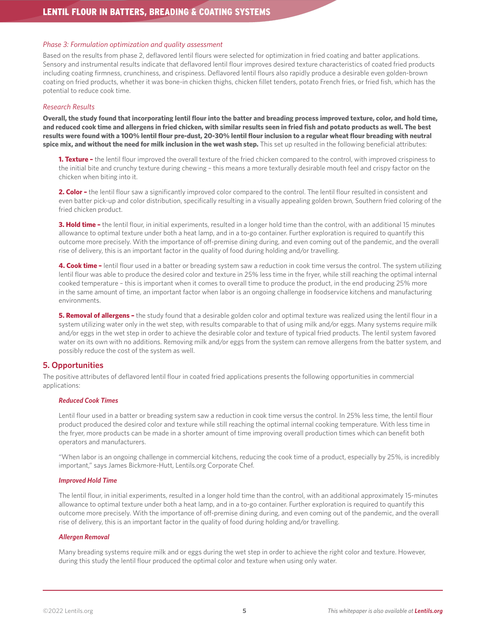### *Phase 3: Formulation optimization and quality assessment*

Based on the results from phase 2, deflavored lentil flours were selected for optimization in fried coating and batter applications. Sensory and instrumental results indicate that deflavored lentil flour improves desired texture characteristics of coated fried products including coating firmness, crunchiness, and crispiness. Deflavored lentil flours also rapidly produce a desirable even golden-brown coating on fried products, whether it was bone-in chicken thighs, chicken fillet tenders, potato French fries, or fried fish, which has the potential to reduce cook time.

### *Research Results*

**Overall, the study found that incorporating lentil flour into the batter and breading process improved texture, color, and hold time, and reduced cook time and allergens in fried chicken, with similar results seen in fried fish and potato products as well. The best results were found with a 100% lentil flour pre-dust, 20-30% lentil flour inclusion to a regular wheat flour breading with neutral**  spice mix, and without the need for milk inclusion in the wet wash step. This set up resulted in the following beneficial attributes:

**1. Texture –** the lentil flour improved the overall texture of the fried chicken compared to the control, with improved crispiness to the initial bite and crunchy texture during chewing – this means a more texturally desirable mouth feel and crispy factor on the chicken when biting into it.

**2. Color –** the lentil flour saw a significantly improved color compared to the control. The lentil flour resulted in consistent and even batter pick-up and color distribution, specifically resulting in a visually appealing golden brown, Southern fried coloring of the fried chicken product.

**3. Hold time –** the lentil flour, in initial experiments, resulted in a longer hold time than the control, with an additional 15 minutes allowance to optimal texture under both a heat lamp, and in a to-go container. Further exploration is required to quantify this outcome more precisely. With the importance of off-premise dining during, and even coming out of the pandemic, and the overall rise of delivery, this is an important factor in the quality of food during holding and/or travelling.

**4. Cook time –** lentil flour used in a batter or breading system saw a reduction in cook time versus the control. The system utilizing lentil flour was able to produce the desired color and texture in 25% less time in the fryer, while still reaching the optimal internal cooked temperature – this is important when it comes to overall time to produce the product, in the end producing 25% more in the same amount of time, an important factor when labor is an ongoing challenge in foodservice kitchens and manufacturing environments.

**5. Removal of allergens –** the study found that a desirable golden color and optimal texture was realized using the lentil flour in a system utilizing water only in the wet step, with results comparable to that of using milk and/or eggs. Many systems require milk and/or eggs in the wet step in order to achieve the desirable color and texture of typical fried products. The lentil system favored water on its own with no additions. Removing milk and/or eggs from the system can remove allergens from the batter system, and possibly reduce the cost of the system as well.

# **5. Opportunities**

The positive attributes of deflavored lentil flour in coated fried applications presents the following opportunities in commercial applications:

# *Reduced Cook Times*

Lentil flour used in a batter or breading system saw a reduction in cook time versus the control. In 25% less time, the lentil flour product produced the desired color and texture while still reaching the optimal internal cooking temperature. With less time in the fryer, more products can be made in a shorter amount of time improving overall production times which can benefit both operators and manufacturers.

"When labor is an ongoing challenge in commercial kitchens, reducing the cook time of a product, especially by 25%, is incredibly important," says James Bickmore-Hutt, Lentils.org Corporate Chef.

#### *Improved Hold Time*

The lentil flour, in initial experiments, resulted in a longer hold time than the control, with an additional approximately 15-minutes allowance to optimal texture under both a heat lamp, and in a to-go container. Further exploration is required to quantify this outcome more precisely. With the importance of off-premise dining during, and even coming out of the pandemic, and the overall rise of delivery, this is an important factor in the quality of food during holding and/or travelling.

#### *Allergen Removal*

Many breading systems require milk and or eggs during the wet step in order to achieve the right color and texture. However, during this study the lentil flour produced the optimal color and texture when using only water.